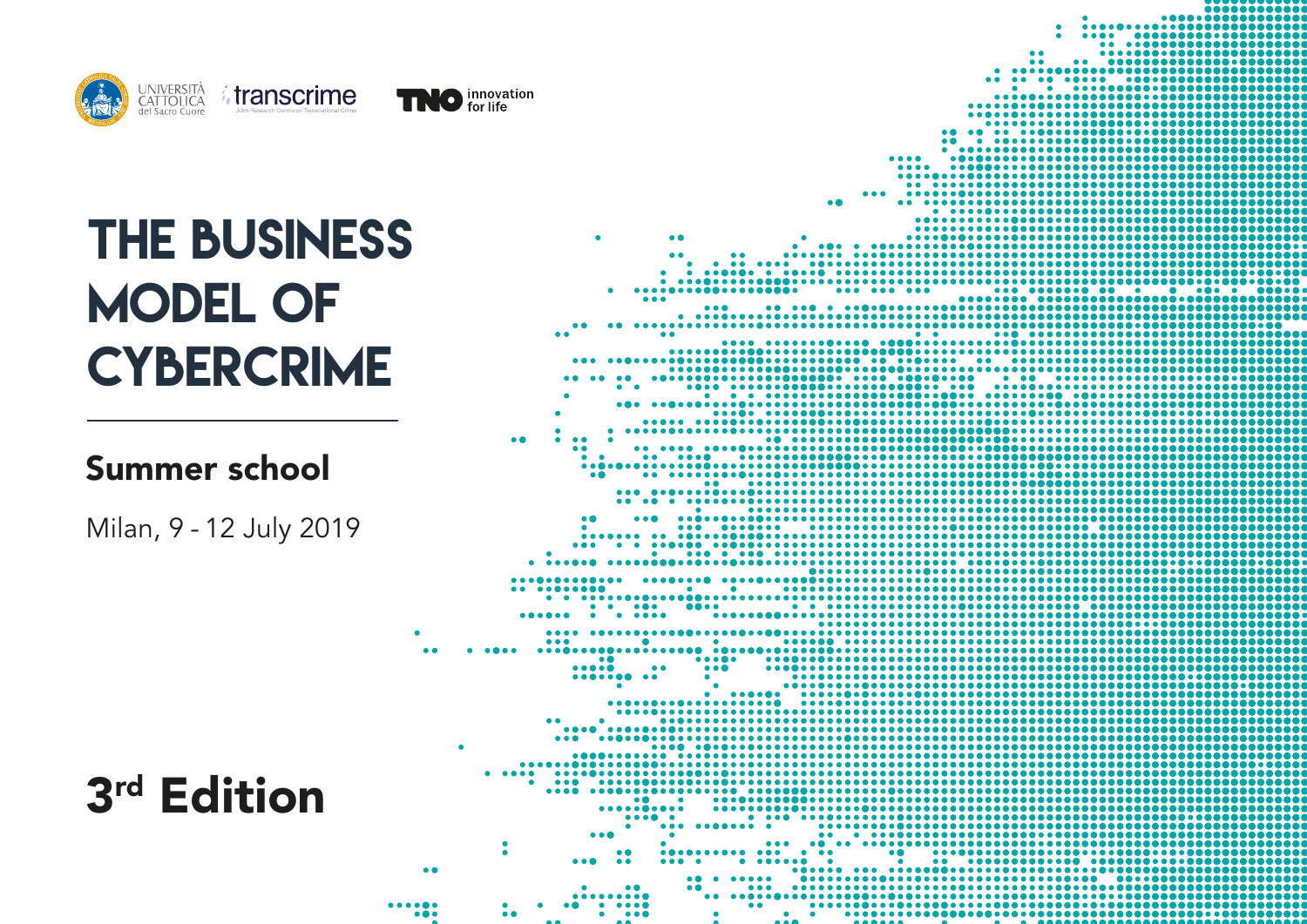



### Summer school

Milan, 9 - 12 July 2019



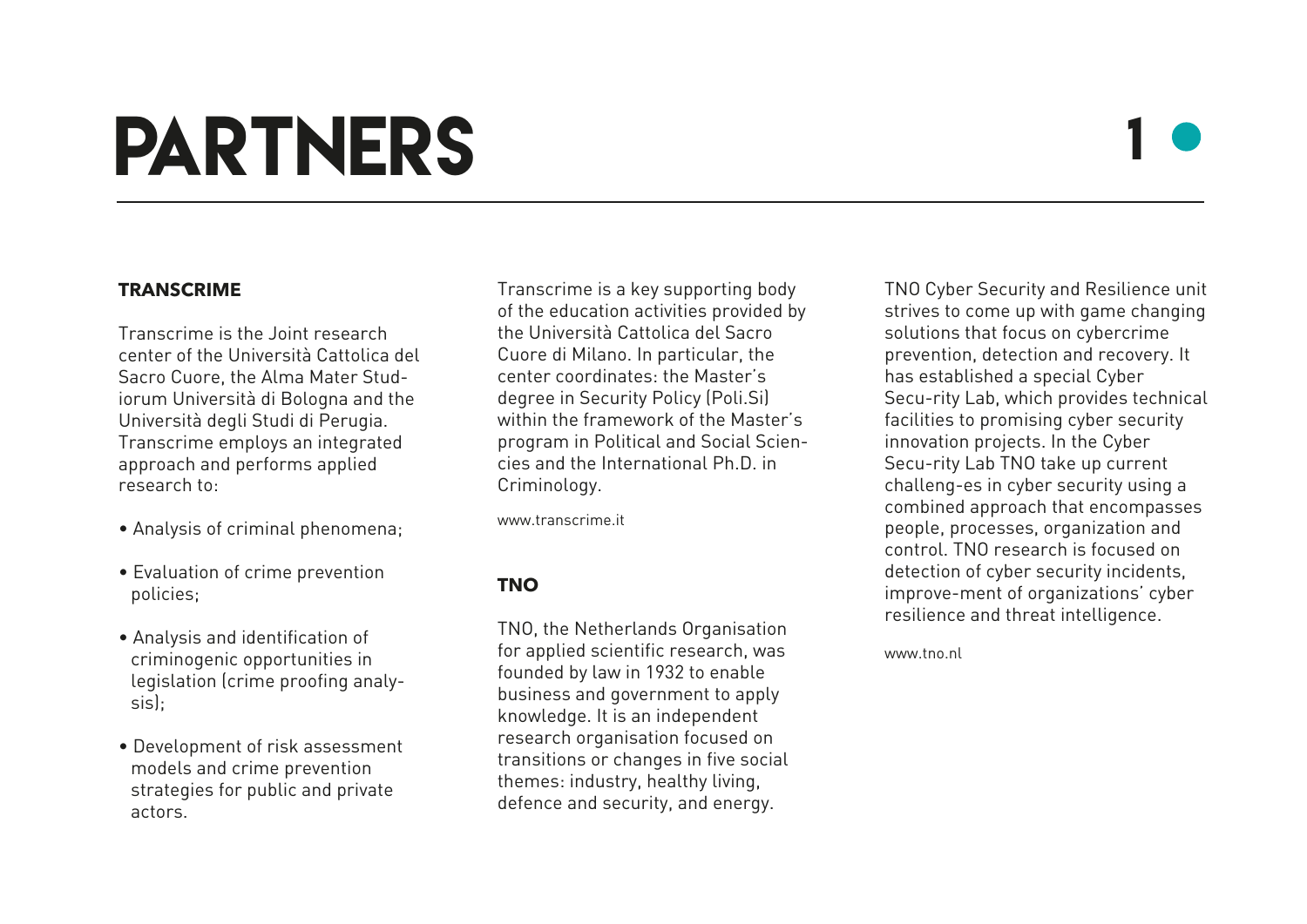## partners

### 1

#### **TRANSCRIME**

Transcrime is the Joint research center of the Università Cattolica del Sacro Cuore, the Alma Mater Studiorum Università di Bologna and the Università degli Studi di Perugia. Transcrime employs an integrated approach and performs applied research to:

- Analysis of criminal phenomena;
- Evaluation of crime prevention policies;
- Analysis and identification of criminogenic opportunities in legislation (crime proofing analysis);
- Development of risk assessment models and crime prevention strategies for public and private actors.

Transcrime is a key supporting body of the education activities provided by the Università Cattolica del Sacro Cuore di Milano. In particular, the center coordinates: the Master's degree in Security Policy (Poli.Si) within the framework of the Master's program in Political and Social Sciencies and the International Ph.D. in Criminology.

www.transcrime.it

### **TNO**

TNO, the Netherlands Organisation for applied scientific research, was founded by law in 1932 to enable business and government to apply knowledge. It is an independent research organisation focused on transitions or changes in five social themes: industry, healthy living, defence and security, and energy.

TNO Cyber Security and Resilience unit strives to come up with game changing solutions that focus on cybercrime prevention, detection and recovery. It has established a special Cyber Secu-rity Lab, which provides technical facilities to promising cyber security innovation projects. In the Cyber Secu-rity Lab TNO take up current challeng-es in cyber security using a combined approach that encompasses people, processes, organization and control. TNO research is focused on detection of cyber security incidents, improve-ment of organizations' cyber resilience and threat intelligence.

www.tno.nl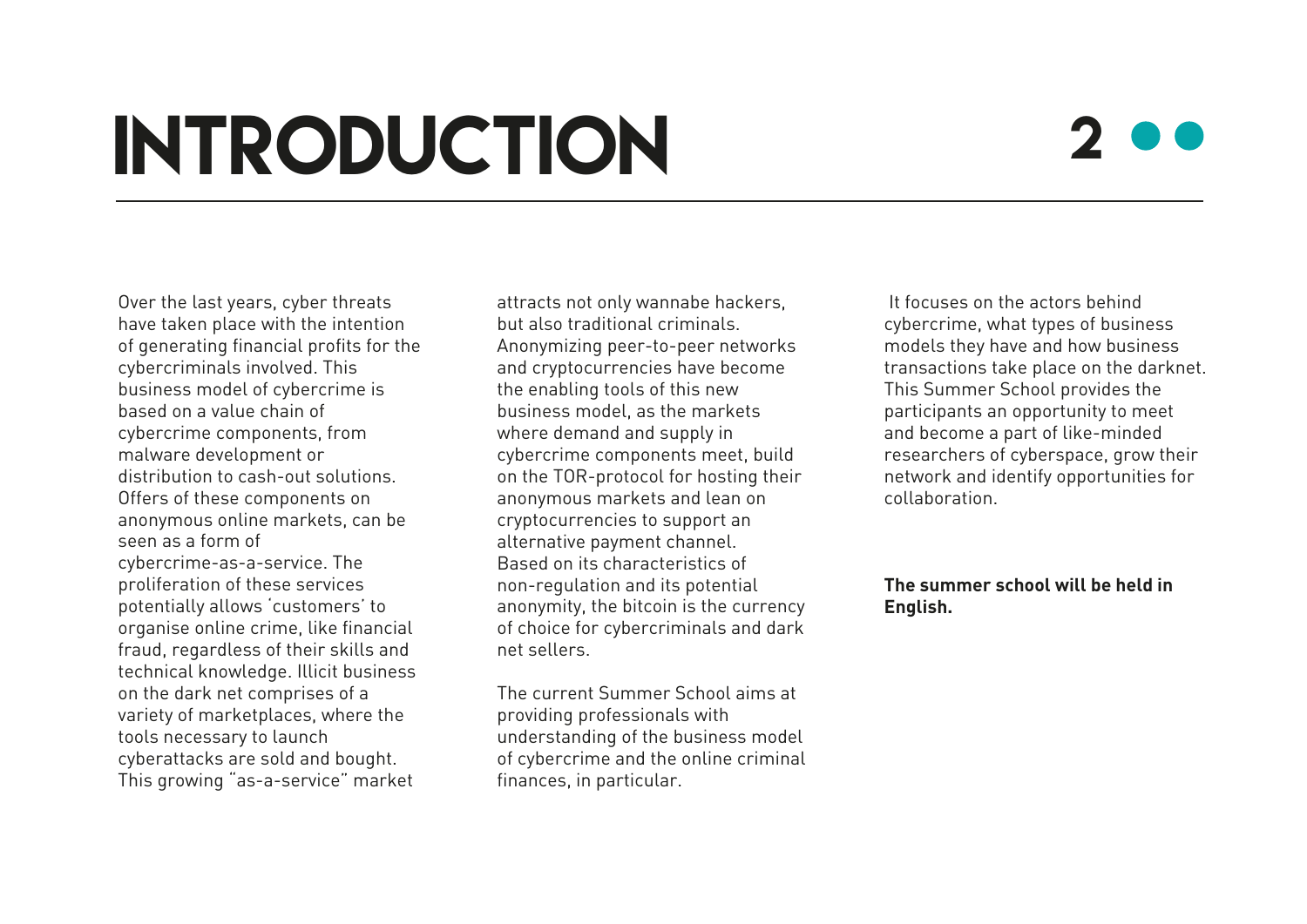## **INTRODUCTION**

### 2

Over the last years, cyber threats have taken place with the intention of generating financial profits for the cybercriminals involved. This business model of cybercrime is based on a value chain of cybercrime components, from malware development or distribution to cash-out solutions. Offers of these components on anonymous online markets, can be seen as a form of cybercrime-as-a-service. The proliferation of these services potentially allows 'customers' to organise online crime, like financial fraud, regardless of their skills and technical knowledge. Illicit business on the dark net comprises of a variety of marketplaces, where the tools necessary to launch cyberattacks are sold and bought. This growing "as-a-service" market

attracts not only wannabe hackers, but also traditional criminals. Anonymizing peer-to-peer networks and cryptocurrencies have become the enabling tools of this new business model, as the markets where demand and supply in cybercrime components meet, build on the TOR-protocol for hosting their anonymous markets and lean on cryptocurrencies to support an alternative payment channel. Based on its characteristics of non-regulation and its potential anonymity, the bitcoin is the currency of choice for cybercriminals and dark net sellers.

The current Summer School aims at providing professionals with understanding of the business model of cybercrime and the online criminal finances, in particular.

 It focuses on the actors behind cybercrime, what types of business models they have and how business transactions take place on the darknet. This Summer School provides the participants an opportunity to meet and become a part of like-minded researchers of cyberspace, grow their network and identify opportunities for collaboration.

#### **The summer school will be held in English.**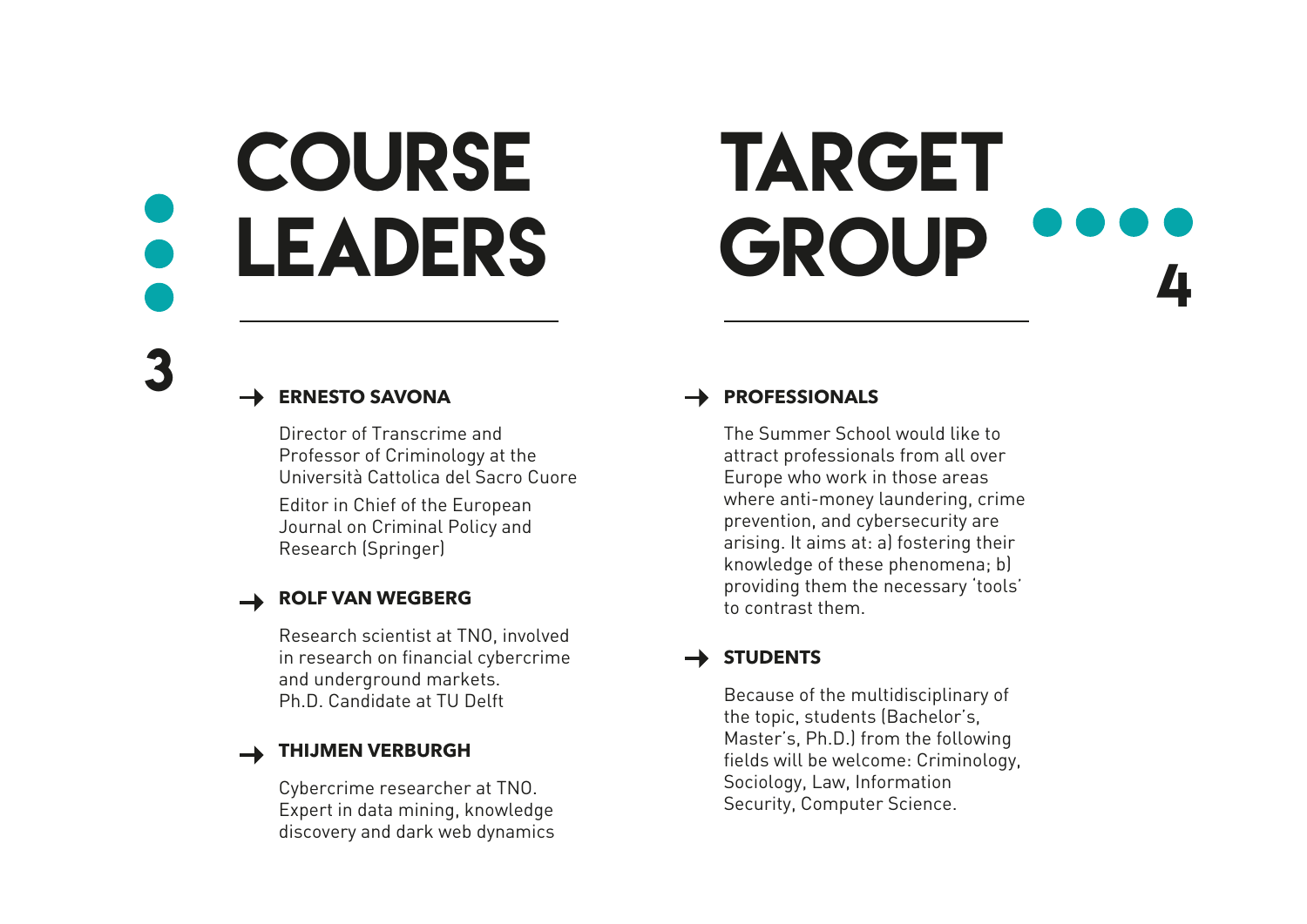# **COURSE** leaders

### **TARGET** GROUP 4

**ERNESTO SAVONA**

3

Director of Transcrime and Professor of Criminology at the Università Cattolica del Sacro Cuore

Editor in Chief of the European Journal on Criminal Policy and Research (Springer)

### **ROLF VAN WEGBERG**

Research scientist at TNO, involved in research on financial cybercrime and underground markets. Ph.D. Candidate at TU Delft

### **THIJMEN VERBURGH**

Cybercrime researcher at TNO. Expert in data mining, knowledge discovery and dark web dynamics

### **PROFESSIONALS**

The Summer School would like to attract professionals from all over Europe who work in those areas where anti-money laundering, crime prevention, and cybersecurity are arising. It aims at: a) fostering their knowledge of these phenomena; b) providing them the necessary 'tools' to contrast them.

### **STUDENTS**

Because of the multidisciplinary of the topic, students (Bachelor's, Master's, Ph.D.) from the following fields will be welcome: Criminology, Sociology, Law, Information Security, Computer Science.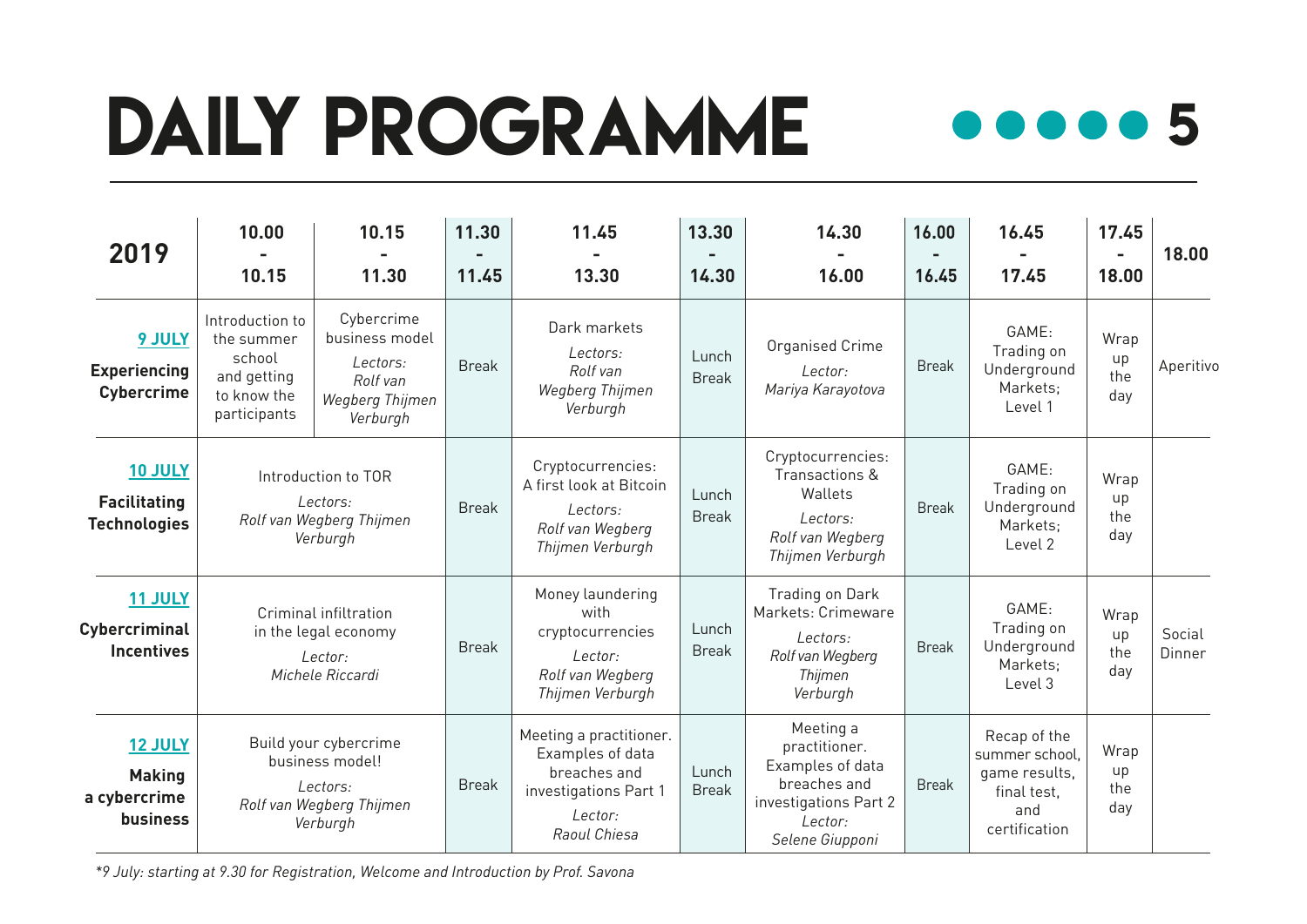# DAILY PROGRAMME 000005



| 2019                                                         | 10.00                                                                                        | 10.15                                                                               | 11.30        | 11.45                                                                                                           | 13.30                 | 14.30                                                                                                                 | 16.00        | 16.45                                                                                  | 17.45                    | 18.00            |
|--------------------------------------------------------------|----------------------------------------------------------------------------------------------|-------------------------------------------------------------------------------------|--------------|-----------------------------------------------------------------------------------------------------------------|-----------------------|-----------------------------------------------------------------------------------------------------------------------|--------------|----------------------------------------------------------------------------------------|--------------------------|------------------|
|                                                              | 10.15                                                                                        | 11.30                                                                               | 11.45        | 13.30                                                                                                           | 14.30                 | 16.00                                                                                                                 | 16.45        | 17.45                                                                                  | $\sim$<br>18.00          |                  |
| <b>9 JULY</b><br><b>Experiencing</b><br><b>Cybercrime</b>    | Introduction to<br>the summer<br>school<br>and getting<br>to know the<br>participants        | Cybercrime<br>business model<br>Lectors:<br>Rolf van<br>Wegberg Thijmen<br>Verburgh | <b>Break</b> | Dark markets<br>Lectors:<br>Rolf van<br>Wegberg Thijmen<br>Verburgh                                             | Lunch<br><b>Break</b> | Organised Crime<br>Lector:<br>Mariya Karayotova                                                                       | <b>Break</b> | GAME:<br>Trading on<br>Underground<br>Markets:<br>Level 1                              | Wrap<br>up<br>the<br>day | Aperitivo        |
| <b>10 JULY</b><br><b>Facilitating</b><br><b>Technologies</b> | Introduction to TOR<br>Lectors:<br>Rolf van Wegberg Thijmen<br>Verburgh                      |                                                                                     | <b>Break</b> | Cryptocurrencies:<br>A first look at Bitcoin<br>Lectors:<br>Rolf van Wegberg<br>Thijmen Verburgh                | Lunch<br><b>Break</b> | Cryptocurrencies:<br>Transactions &<br>Wallets<br>Lectors:<br>Rolf van Wegberg<br>Thijmen Verburgh                    | <b>Break</b> | GAME:<br>Trading on<br>Underground<br>Markets;<br>Level 2                              | Wrap<br>up<br>the<br>day |                  |
| 11 JULY<br>Cybercriminal<br><b>Incentives</b>                | Criminal infiltration<br>in the legal economy<br>$I$ ector:<br>Michele Riccardi              |                                                                                     | <b>Break</b> | Money laundering<br>with<br>cryptocurrencies<br>Lector:<br>Rolf van Wegberg<br>Thijmen Verburgh                 | Lunch<br><b>Break</b> | Trading on Dark<br>Markets: Crimeware<br>Lectors:<br>Rolf van Wegberg<br>Thijmen<br>Verburgh                          | <b>Break</b> | GAME:<br>Trading on<br>Underground<br>Markets;<br>Level 3                              | Wrap<br>up<br>the<br>day | Social<br>Dinner |
| <b>12 JULY</b><br><b>Making</b><br>a cybercrime<br>business  | Build your cybercrime<br>business model!<br>Lectors:<br>Rolf van Wegberg Thijmen<br>Verburgh |                                                                                     | <b>Break</b> | Meeting a practitioner.<br>Examples of data<br>breaches and<br>investigations Part 1<br>Lector:<br>Raoul Chiesa | Lunch<br><b>Break</b> | Meeting a<br>practitioner.<br>Examples of data<br>breaches and<br>investigations Part 2<br>Lector:<br>Selene Giupponi | <b>Break</b> | Recap of the<br>summer school,<br>game results,<br>final test.<br>and<br>certification | Wrap<br>up<br>the<br>day |                  |

*\*9 July: starting at 9.30 for Registration, Welcome and Introduction by Prof. Savona*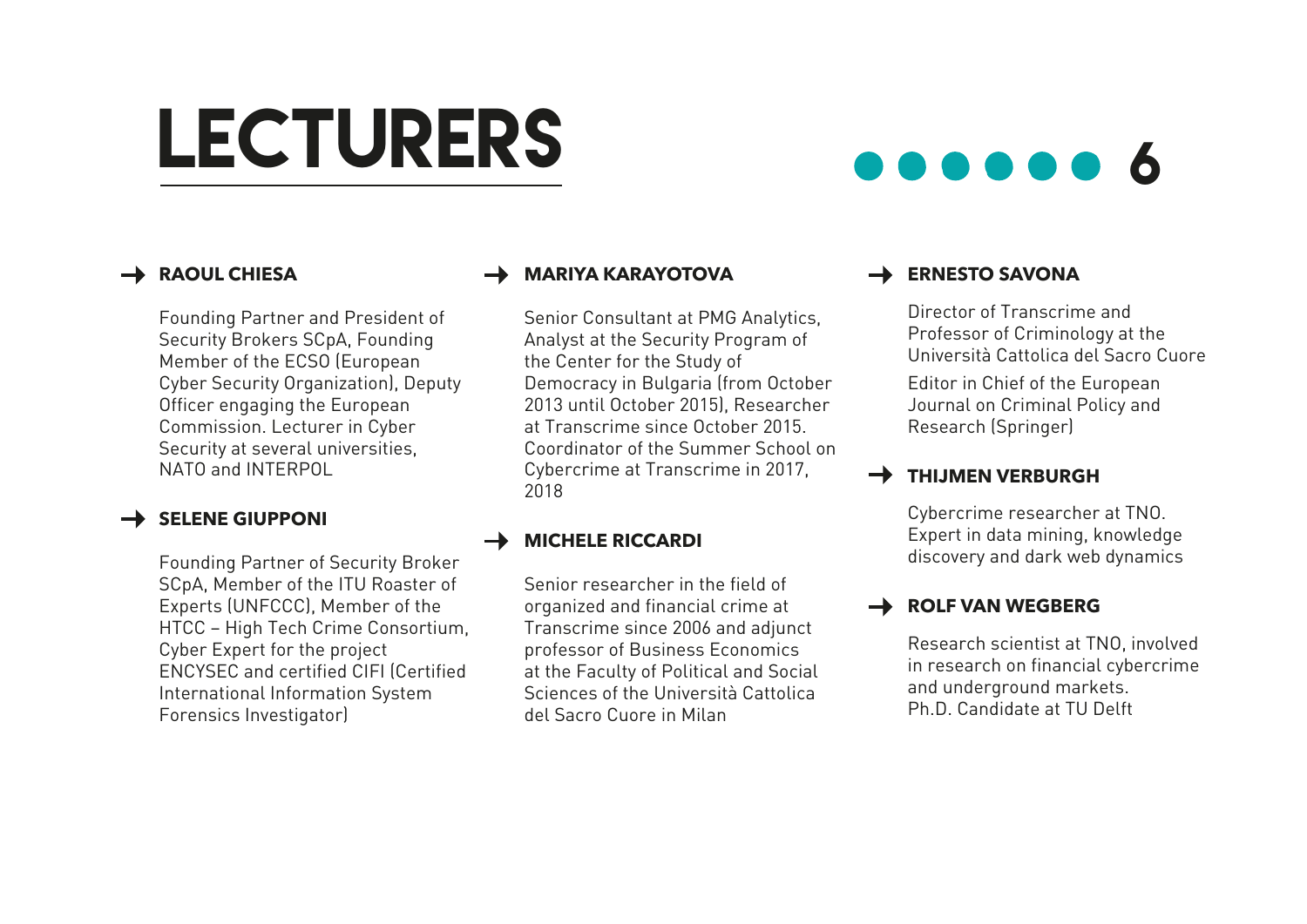## LECTURERS **600000**

### **RAOUL CHIESA**

Founding Partner and President of Security Brokers SCpA, Founding Member of the ECSO (European Cyber Security Organization), Deputy Officer engaging the European Commission. Lecturer in Cyber Security at several universities, NATO and INTERPOL

### **SELENE GIUPPONI**

Founding Partner of Security Broker SCpA, Member of the ITU Roaster of Experts (UNFCCC), Member of the HTCC – High Tech Crime Consortium, Cyber Expert for the project ENCYSEC and certified CIFI (Certified International Information System Forensics Investigator)

### **MARIYA KARAYOTOVA**

Senior Consultant at PMG Analytics, Analyst at the Security Program of the Center for the Study of Democracy in Bulgaria (from October 2013 until October 2015), Researcher at Transcrime since October 2015. Coordinator of the Summer School on Cybercrime at Transcrime in 2017, 2018

### **NICHELE RICCARDI**

Senior researcher in the field of organized and financial crime at Transcrime since 2006 and adjunct professor of Business Economics at the Faculty of Political and Social Sciences of the Università Cattolica del Sacro Cuore in Milan

### **ERNESTO SAVONA**

Director of Transcrime and Professor of Criminology at the Università Cattolica del Sacro Cuore

Editor in Chief of the European Journal on Criminal Policy and Research (Springer)

### **THIJMEN VERBURGH**

Cybercrime researcher at TNO. Expert in data mining, knowledge discovery and dark web dynamics

### **ROLF VAN WEGBERG**

Research scientist at TNO, involved in research on financial cybercrime and underground markets. Ph.D. Candidate at TU Delft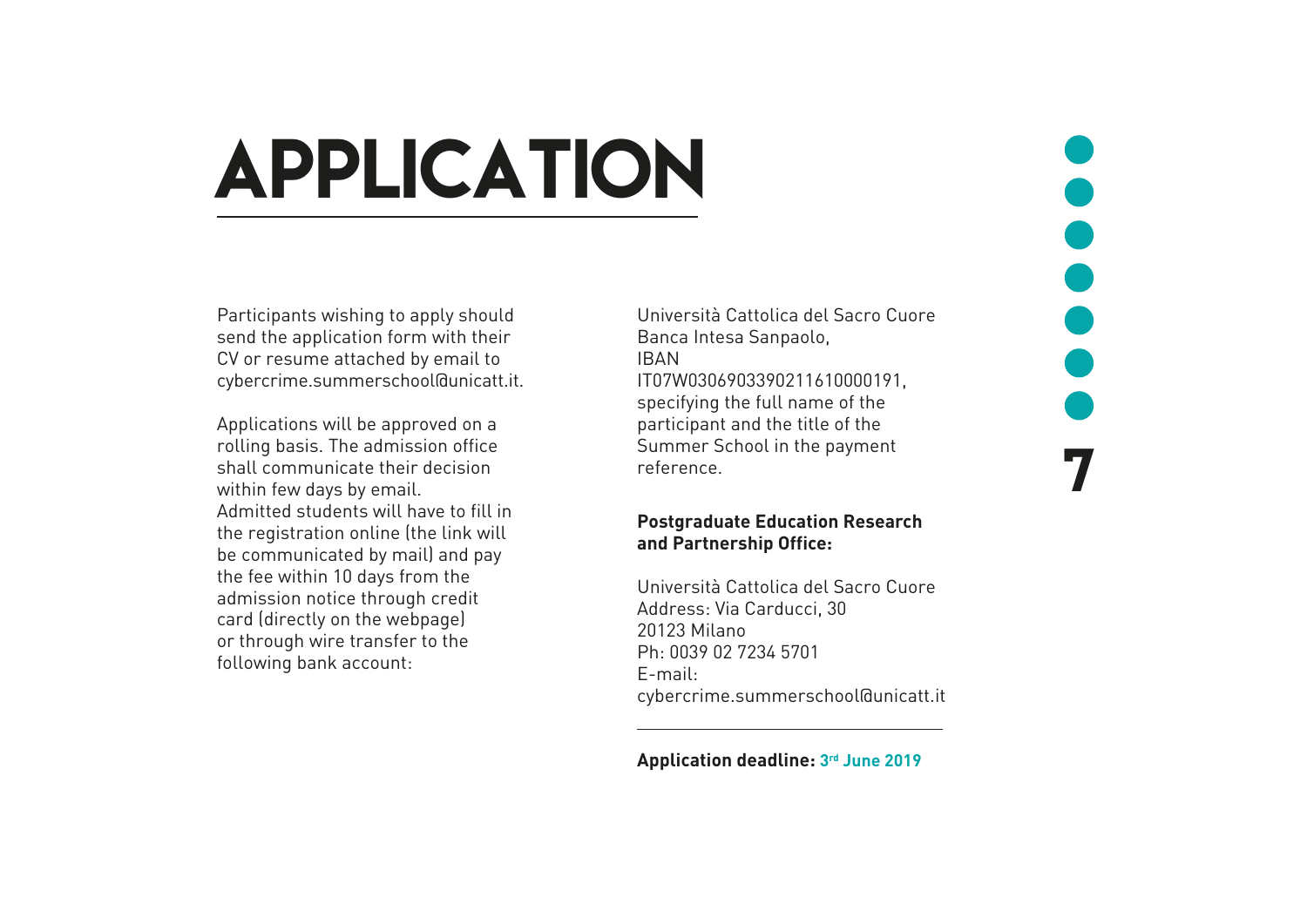### application

Participants wishing to apply should send the application form with their CV or resume attached by email to cybercrime.summerschool@unicatt.it.

Applications will be approved on a rolling basis. The admission office shall communicate their decision within few days by email. Admitted students will have to fill in the registration online (the link will be communicated by mail) and pay the fee within 10 days from the admission notice through credit card (directly on the webpage) or through wire transfer to the following bank account:

Università Cattolica del Sacro Cuore Banca Intesa Sanpaolo, IBAN IT07W0306903390211610000191, specifying the full name of the participant and the title of the Summer School in the payment reference.

7

#### **Postgraduate Education Research and Partnership Office:**

Università Cattolica del Sacro Cuore Address: Via Carducci, 30 20123 Milano Ph: 0039 02 7234 5701 E-mail: cybercrime.summerschool@unicatt.it

#### **Application deadline: 3rd June 2019**